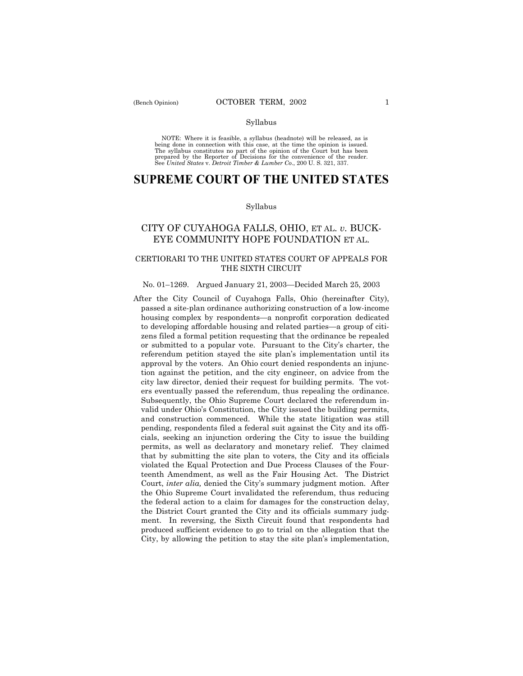### Syllabus

NOTE: Where it is feasible, a syllabus (headnote) will be released, as is being done in connection with this case, at the time the opinion is issued. The syllabus constitutes no part of the opinion of the Court but has been<br>prepared by the Reporter of Decisions for the convenience of the reader.<br>See United States v. Detroit Timber & Lumber Co., 200 U. S. 321, 337.

# **SUPREME COURT OF THE UNITED STATES**

#### Syllabus

## CITY OF CUYAHOGA FALLS, OHIO, ET AL. *v.* BUCK-EYE COMMUNITY HOPE FOUNDATION ET AL.

### CERTIORARI TO THE UNITED STATES COURT OF APPEALS FOR THE SIXTH CIRCUIT

#### No. 01–1269. Argued January 21, 2003–Decided March 25, 2003

After the City Council of Cuyahoga Falls, Ohio (hereinafter City), passed a site-plan ordinance authorizing construction of a low-income housing complex by respondents—a nonprofit corporation dedicated to developing affordable housing and related parties—a group of citizens filed a formal petition requesting that the ordinance be repealed or submitted to a popular vote. Pursuant to the Cityís charter, the referendum petition stayed the site plan's implementation until its approval by the voters. An Ohio court denied respondents an injunction against the petition, and the city engineer, on advice from the city law director, denied their request for building permits. The voters eventually passed the referendum, thus repealing the ordinance. Subsequently, the Ohio Supreme Court declared the referendum invalid under Ohioís Constitution, the City issued the building permits, and construction commenced. While the state litigation was still pending, respondents filed a federal suit against the City and its officials, seeking an injunction ordering the City to issue the building permits, as well as declaratory and monetary relief. They claimed that by submitting the site plan to voters, the City and its officials violated the Equal Protection and Due Process Clauses of the Fourteenth Amendment, as well as the Fair Housing Act. The District Court, *inter alia*, denied the City's summary judgment motion. After the Ohio Supreme Court invalidated the referendum, thus reducing the federal action to a claim for damages for the construction delay, the District Court granted the City and its officials summary judgment. In reversing, the Sixth Circuit found that respondents had produced sufficient evidence to go to trial on the allegation that the City, by allowing the petition to stay the site plan's implementation,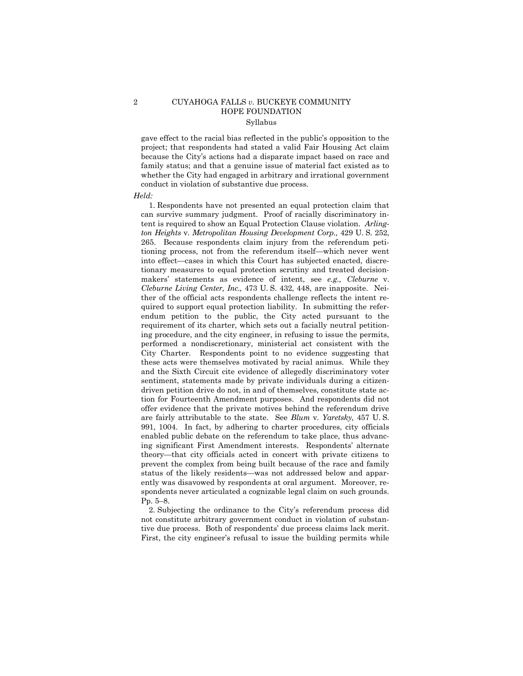### 2 CUYAHOGA FALLS *v.* BUCKEYE COMMUNITY HOPE FOUNDATION Syllabus

gave effect to the racial bias reflected in the public's opposition to the project; that respondents had stated a valid Fair Housing Act claim because the Cityís actions had a disparate impact based on race and family status; and that a genuine issue of material fact existed as to whether the City had engaged in arbitrary and irrational government conduct in violation of substantive due process.

#### *Held:*

1. Respondents have not presented an equal protection claim that can survive summary judgment. Proof of racially discriminatory intent is required to show an Equal Protection Clause violation. *Arlington Heights* v. *Metropolitan Housing Development Corp.,* 429 U. S. 252, 265. Because respondents claim injury from the referendum petitioning process, not from the referendum itself—which never went into effect—cases in which this Court has subjected enacted, discretionary measures to equal protection scrutiny and treated decisionmakers' statements as evidence of intent, see *e.g.*, *Cleburne* v. *Cleburne Living Center, Inc.,* 473 U. S. 432, 448, are inapposite. Neither of the official acts respondents challenge reflects the intent required to support equal protection liability. In submitting the referendum petition to the public, the City acted pursuant to the requirement of its charter, which sets out a facially neutral petitioning procedure, and the city engineer, in refusing to issue the permits, performed a nondiscretionary, ministerial act consistent with the City Charter. Respondents point to no evidence suggesting that these acts were themselves motivated by racial animus. While they and the Sixth Circuit cite evidence of allegedly discriminatory voter sentiment, statements made by private individuals during a citizendriven petition drive do not, in and of themselves, constitute state action for Fourteenth Amendment purposes. And respondents did not offer evidence that the private motives behind the referendum drive are fairly attributable to the state. See *Blum* v. *Yaretsky,* 457 U. S. 991, 1004. In fact, by adhering to charter procedures, city officials enabled public debate on the referendum to take place, thus advancing significant First Amendment interests. Respondents' alternate theory—that city officials acted in concert with private citizens to prevent the complex from being built because of the race and family status of the likely residents—was not addressed below and apparently was disavowed by respondents at oral argument. Moreover, respondents never articulated a cognizable legal claim on such grounds. Pp.  $5-8$ .

2. Subjecting the ordinance to the Cityís referendum process did not constitute arbitrary government conduct in violation of substantive due process. Both of respondents' due process claims lack merit. First, the city engineer's refusal to issue the building permits while